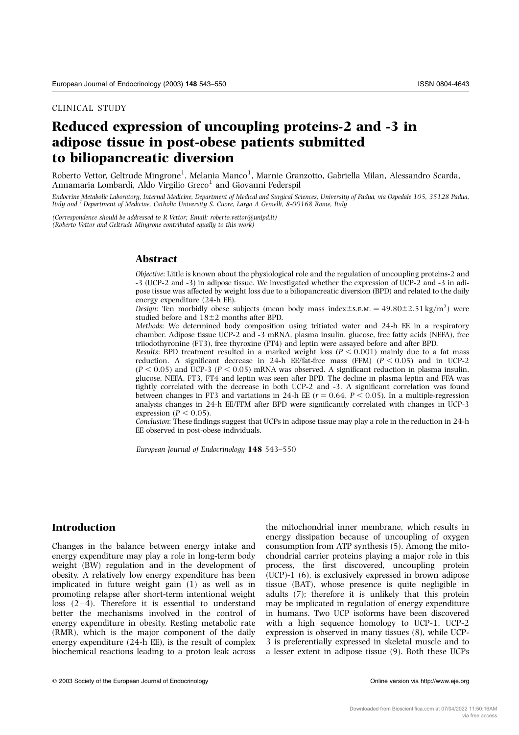CLINICAL STUDY

# Reduced expression of uncoupling proteins-2 and -3 in adipose tissue in post-obese patients submitted to biliopancreatic diversion

Roberto Vettor, Geltrude Mingrone<sup>1</sup>, Melania Manco<sup>1</sup>, Marnie Granzotto, Gabriella Milan, Alessandro Scarda, Annamaria Lombardi, Aldo Virgilio Greco<sup>1</sup> and Giovanni Federspil

Endocrine Metabolic Laboratory, Internal Medicine, Department of Medical and Surgical Sciences, University of Padua, via Ospedale 105, 35128 Padua, Italy and <sup>1</sup> Department of Medicine, Catholic University S. Cuore, Largo A Gemelli, 8-00168 Rome, Italy

(Correspondence should be addressed to R Vettor; Email: roberto.vettor@unipd.it) (Roberto Vettor and Geltrude Mingrone contributed equally to this work)

# Abstract

Objective: Little is known about the physiological role and the regulation of uncoupling proteins-2 and -3 (UCP-2 and -3) in adipose tissue. We investigated whether the expression of UCP-2 and -3 in adipose tissue was affected by weight loss due to a biliopancreatic diversion (BPD) and related to the daily energy expenditure (24-h EE).

Design: Ten morbidly obese subjects (mean body mass index  $\pm$  s.e.m.  $= 49.80 \pm 2.51$  kg/m<sup>2</sup>) were studied before and  $18±2$  months after BPD.

Methods: We determined body composition using tritiated water and 24-h EE in a respiratory chamber. Adipose tissue UCP-2 and -3 mRNA, plasma insulin, glucose, free fatty acids (NEFA), free triiodothyronine (FT3), free thyroxine (FT4) and leptin were assayed before and after BPD.

Results: BPD treatment resulted in a marked weight loss ( $P < 0.001$ ) mainly due to a fat mass reduction. A significant decrease in 24-h EE/fat-free mass (FFM)  $(P \le 0.05)$  and in UCP-2  $(P < 0.05)$  and UCP-3  $(P < 0.05)$  mRNA was observed. A significant reduction in plasma insulin, glucose, NEFA, FT3, FT4 and leptin was seen after BPD. The decline in plasma leptin and FFA was tightly correlated with the decrease in both UCP-2 and -3. A significant correlation was found between changes in FT3 and variations in 24-h EE ( $r = 0.64$ ,  $P \le 0.05$ ). In a multiple-regression analysis changes in 24-h EE/FFM after BPD were significantly correlated with changes in UCP-3 expression ( $P < 0.05$ ).

Conclusion: These findings suggest that UCPs in adipose tissue may play a role in the reduction in 24-h EE observed in post-obese individuals.

European Journal of Endocrinology 148 543–550

# Introduction

Changes in the balance between energy intake and energy expenditure may play a role in long-term body weight (BW) regulation and in the development of obesity. A relatively low energy expenditure has been implicated in future weight gain (1) as well as in promoting relapse after short-term intentional weight loss (2–4). Therefore it is essential to understand better the mechanisms involved in the control of energy expenditure in obesity. Resting metabolic rate (RMR), which is the major component of the daily energy expenditure (24-h EE), is the result of complex biochemical reactions leading to a proton leak across

the mitochondrial inner membrane, which results in energy dissipation because of uncoupling of oxygen consumption from ATP synthesis (5). Among the mitochondrial carrier proteins playing a major role in this process, the first discovered, uncoupling protein (UCP)-1 (6), is exclusively expressed in brown adipose tissue (BAT), whose presence is quite negligible in adults (7); therefore it is unlikely that this protein may be implicated in regulation of energy expenditure in humans. Two UCP isoforms have been discovered with a high sequence homology to UCP-1. UCP-2 expression is observed in many tissues (8), while UCP-3 is preferentially expressed in skeletal muscle and to a lesser extent in adipose tissue (9). Both these UCPs

© 2003 Society of the European Journal of Endocrinology **Online version via http://www.eje.org** Online version via http://www.eje.org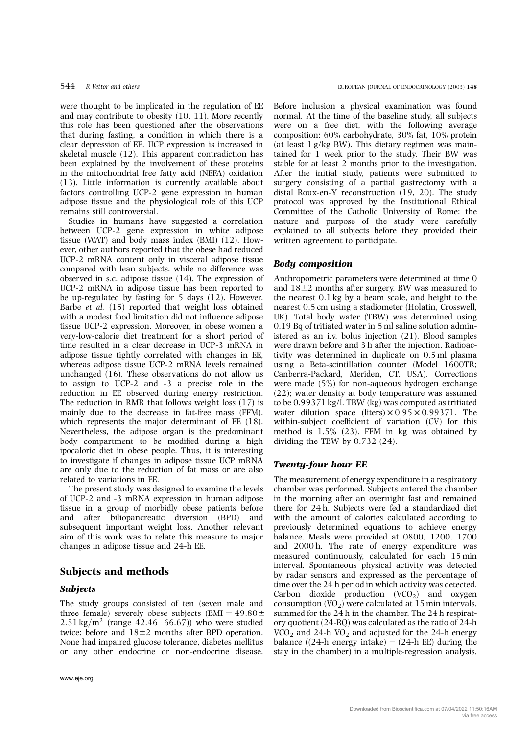were thought to be implicated in the regulation of EE and may contribute to obesity (10, 11). More recently this role has been questioned after the observations that during fasting, a condition in which there is a clear depression of EE, UCP expression is increased in skeletal muscle (12). This apparent contradiction has been explained by the involvement of these proteins in the mitochondrial free fatty acid (NEFA) oxidation (13). Little information is currently available about factors controlling UCP-2 gene expression in human adipose tissue and the physiological role of this UCP remains still controversial.

Studies in humans have suggested a correlation between UCP-2 gene expression in white adipose tissue (WAT) and body mass index (BMI) (12). However, other authors reported that the obese had reduced UCP-2 mRNA content only in visceral adipose tissue compared with lean subjects, while no difference was observed in s.c. adipose tissue (14). The expression of UCP-2 mRNA in adipose tissue has been reported to be up-regulated by fasting for 5 days (12). However, Barbe et al. (15) reported that weight loss obtained with a modest food limitation did not influence adipose tissue UCP-2 expression. Moreover, in obese women a very-low-calorie diet treatment for a short period of time resulted in a clear decrease in UCP-3 mRNA in adipose tissue tightly correlated with changes in EE, whereas adipose tissue UCP-2 mRNA levels remained unchanged (16). These observations do not allow us to assign to UCP-2 and -3 a precise role in the reduction in EE observed during energy restriction. The reduction in RMR that follows weight loss (17) is mainly due to the decrease in fat-free mass (FFM), which represents the major determinant of EE (18). Nevertheless, the adipose organ is the predominant body compartment to be modified during a high ipocaloric diet in obese people. Thus, it is interesting to investigate if changes in adipose tissue UCP mRNA are only due to the reduction of fat mass or are also related to variations in EE.

The present study was designed to examine the levels of UCP-2 and -3 mRNA expression in human adipose tissue in a group of morbidly obese patients before and after biliopancreatic diversion (BPD) and subsequent important weight loss. Another relevant aim of this work was to relate this measure to major changes in adipose tissue and 24-h EE.

#### Subjects and methods

#### Subjects

The study groups consisted of ten (seven male and three female) severely obese subjects (BMI =  $49.80 \pm$ 2.51 kg/m<sup>2</sup> (range 42.46–66.67)) who were studied twice: before and  $18\pm2$  months after BPD operation. None had impaired glucose tolerance, diabetes mellitus or any other endocrine or non-endocrine disease.

Before inclusion a physical examination was found normal. At the time of the baseline study, all subjects were on a free diet, with the following average composition: 60% carbohydrate, 30% fat, 10% protein (at least 1 g/kg BW). This dietary regimen was maintained for 1 week prior to the study. Their BW was stable for at least 2 months prior to the investigation. After the initial study, patients were submitted to surgery consisting of a partial gastrectomy with a distal Roux-en-Y reconstruction (19, 20). The study protocol was approved by the Institutional Ethical Committee of the Catholic University of Rome; the nature and purpose of the study were carefully explained to all subjects before they provided their written agreement to participate.

#### Body composition

Anthropometric parameters were determined at time 0 and  $18\pm2$  months after surgery. BW was measured to the nearest 0.1 kg by a beam scale, and height to the nearest 0.5 cm using a stadiometer (Holatin, Crosswell, UK). Total body water (TBW) was determined using 0.19 Bq of tritiated water in 5 ml saline solution administered as an i.v. bolus injection (21). Blood samples were drawn before and 3 h after the injection. Radioactivity was determined in duplicate on 0.5 ml plasma using a Beta-scintillation counter (Model 1600TR; Canberra-Packard, Meriden, CT, USA). Corrections were made (5%) for non-aqueous hydrogen exchange (22); water density at body temperature was assumed to be 0.99371 kg/l. TBW (kg) was computed as tritiated water dilution space (liters)  $\times$  0.95  $\times$  0.99371. The within-subject coefficient of variation (CV) for this method is 1.5% (23). FFM in kg was obtained by dividing the TBW by 0.732 (24).

#### Twenty-four hour EE

The measurement of energy expenditure in a respiratory chamber was performed. Subjects entered the chamber in the morning after an overnight fast and remained there for 24 h. Subjects were fed a standardized diet with the amount of calories calculated according to previously determined equations to achieve energy balance. Meals were provided at 0800, 1200, 1700 and 2000 h. The rate of energy expenditure was measured continuously, calculated for each 15 min interval. Spontaneous physical activity was detected by radar sensors and expressed as the percentage of time over the 24 h period in which activity was detected. Carbon dioxide production  $(VCO<sub>2</sub>)$  and oxygen consumption  $(VO<sub>2</sub>)$  were calculated at 15 min intervals, summed for the 24 h in the chamber. The 24 h respiratory quotient (24-RQ) was calculated as the ratio of 24-h  $VCO<sub>2</sub>$  and 24-h  $VO<sub>2</sub>$  and adjusted for the 24-h energy balance ((24-h energy intake)  $-$  (24-h EE) during the stay in the chamber) in a multiple-regression analysis,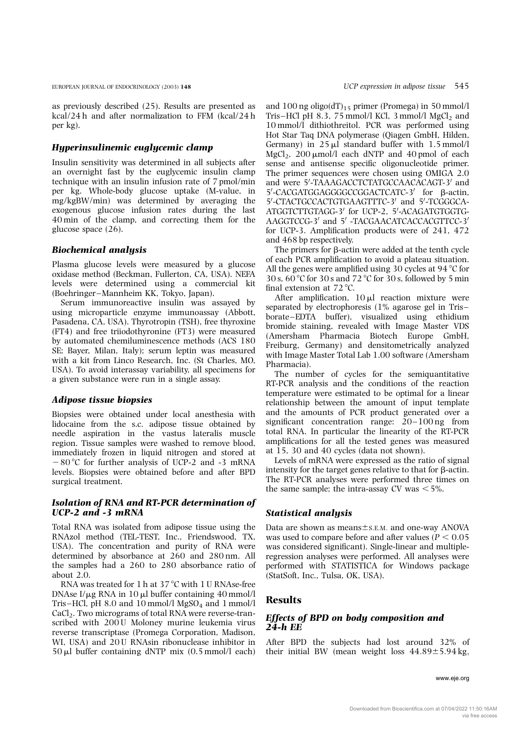as previously described (25). Results are presented as kcal/24 h and after normalization to FFM (kcal/24 h per kg).

## Hyperinsulinemic euglycemic clamp

Insulin sensitivity was determined in all subjects after an overnight fast by the euglycemic insulin clamp technique with an insulin infusion rate of 7 pmol/min per kg. Whole-body glucose uptake (M-value, in mg/kgBW/min) was determined by averaging the exogenous glucose infusion rates during the last 40 min of the clamp, and correcting them for the glucose space (26).

#### Biochemical analysis

Plasma glucose levels were measured by a glucose oxidase method (Beckman, Fullerton, CA, USA). NEFA levels were determined using a commercial kit (Boehringer–Mannheim KK, Tokyo, Japan).

Serum immunoreactive insulin was assayed by using microparticle enzyme immunoassay (Abbott, Pasadena, CA, USA). Thyrotropin (TSH), free thyroxine (FT4) and free triiodothyronine (FT3) were measured by automated chemiluminescence methods (ACS 180 SE; Bayer, Milan, Italy); serum leptin was measured with a kit from Linco Research, Inc. (St Charles, MO, USA). To avoid interassay variability, all specimens for a given substance were run in a single assay.

#### Adipose tissue biopsies

Biopsies were obtained under local anesthesia with lidocaine from the s.c. adipose tissue obtained by needle aspiration in the vastus lateralis muscle region. Tissue samples were washed to remove blood, immediately frozen in liquid nitrogen and stored at  $-80^{\circ}$ C for further analysis of UCP-2 and -3 mRNA levels. Biopsies were obtained before and after BPD surgical treatment.

# Isolation of RNA and RT-PCR determination of UCP-2 and -3 mRNA

Total RNA was isolated from adipose tissue using the RNAzol method (TEL-TEST, Inc., Friendswood, TX, USA). The concentration and purity of RNA were determined by absorbance at 260 and 280 nm. All the samples had a 260 to 280 absorbance ratio of about 2.0.

RNA was treated for 1 h at 37 $\degree$ C with 1 U RNAse-free DNAse I/ $\mu$ g RNA in 10  $\mu$ l buffer containing 40 mmol/l Tris-HCl, pH  $8.0$  and  $10$  mmol/l MgSO<sub>4</sub> and  $1$  mmol/l CaCl2. Two micrograms of total RNA were reverse-transcribed with 200 U Moloney murine leukemia virus reverse transcriptase (Promega Corporation, Madison, WI, USA) and 20 U RNAsin ribonuclease inhibitor in  $50 \mu l$  buffer containing dNTP mix  $(0.5 \text{ mmol/l} \text{ each})$ 

and 100 ng oligo(dT)<sub>15</sub> primer (Promega) in 50 mmol/l Tris-HCl pH 8.3, 75 mmol/l KCl, 3 mmol/l  $MgCl<sub>2</sub>$  and 10 mmol/l dithiothreitol. PCR was performed using Hot Star Taq DNA polymerase (Qiagen GmbH, Hilden, Germany) in  $25 \mu l$  standard buffer with  $1.5 \text{ mmol/l}$ MgCl<sub>2</sub>, 200  $\mu$ mol/l each dNTP and 40 pmol of each sense and antisense specific oligonucleotide primer. The primer sequences were chosen using OMIGA 2.0 and were 5'-TAAAGACCTCTATGCCAACACAGT-3' and 5'-CACGATGGAGGGGCCGGACTCATC-3' for β-actin, 5'-CTACTGCCACTGTGAAGTTTC-3' and 5'-TCGGGCA-ATGGTCTTGTAGG-3' for UCP-2, 5'-ACAGATGTGGTG-AAGGTCCG-3' and 5' -TACGAACATCACCACGTTCC-3' for UCP-3. Amplification products were of 241, 472 and 468 bp respectively.

The primers for  $\beta$ -actin were added at the tenth cycle of each PCR amplification to avoid a plateau situation. All the genes were amplified using 30 cycles at  $94^{\circ}$ C for 30 s,  $60^{\circ}$ C for 30 s and  $72^{\circ}$ C for 30 s, followed by 5 min final extension at  $72^{\circ}$ C.

After amplification,  $10 \mu l$  reaction mixture were separated by electrophoresis (1% agarose gel in Tris – borate–EDTA buffer), visualized using ethidium bromide staining, revealed with Image Master VDS (Amersham Pharmacia Biotech Europe GmbH, Freiburg, Germany) and densitometrically analyzed with Image Master Total Lab 1.00 software (Amersham Pharmacia).

The number of cycles for the semiquantitative RT-PCR analysis and the conditions of the reaction temperature were estimated to be optimal for a linear relationship between the amount of input template and the amounts of PCR product generated over a significant concentration range: 20–100 ng from total RNA. In particular the linearity of the RT-PCR amplifications for all the tested genes was measured at 15, 30 and 40 cycles (data not shown).

Levels of mRNA were expressed as the ratio of signal intensity for the target genes relative to that for  $\beta$ -actin. The RT-PCR analyses were performed three times on the same sample; the intra-assay CV was  $\leq 5\%$ .

# Statistical analysis

Data are shown as means $\pm$ s.E.M. and one-way ANOVA was used to compare before and after values ( $P < 0.05$ ) was considered significant). Single-linear and multipleregression analyses were performed. All analyses were performed with STATISTICA for Windows package (StatSoft, Inc., Tulsa, OK, USA).

# Results

# Effects of BPD on body composition and 24-h EE

After BPD the subjects had lost around 32% of their initial BW (mean weight loss  $44.89 \pm 5.94$  kg,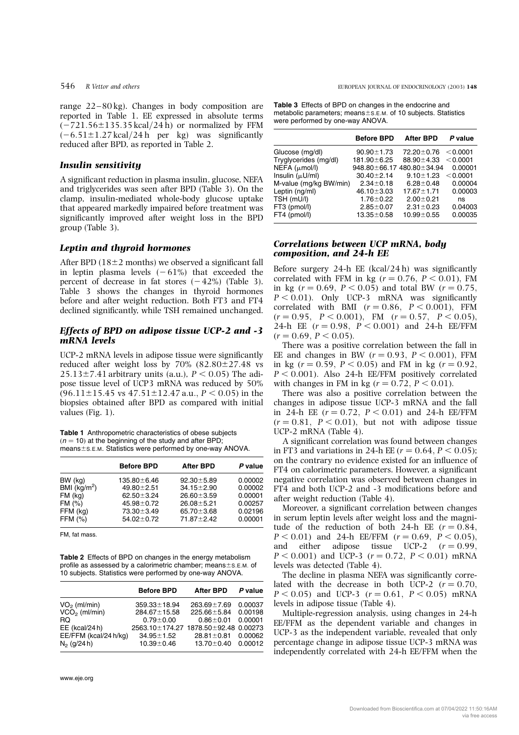range 22–80 kg). Changes in body composition are reported in Table 1. EE expressed in absolute terms  $(-721.56\pm135.35$  kcal/24 h) or normalized by FFM  $(-6.51\pm1.27 \text{ kcal}/24 \text{ h}$  per kg) was significantly reduced after BPD, as reported in Table 2.

#### Insulin sensitivity

A significant reduction in plasma insulin, glucose, NEFA and triglycerides was seen after BPD (Table 3). On the clamp, insulin-mediated whole-body glucose uptake that appeared markedly impaired before treatment was significantly improved after weight loss in the BPD group (Table 3).

# Leptin and thyroid hormones

After BPD  $(18\pm2$  months) we observed a significant fall in leptin plasma levels  $(-61\%)$  that exceeded the percent of decrease in fat stores  $(-42%)$  (Table 3). Table 3 shows the changes in thyroid hormones before and after weight reduction. Both FT3 and FT4 declined significantly, while TSH remained unchanged.

#### Effects of BPD on adipose tissue UCP-2 and -3 mRNA levels

UCP-2 mRNA levels in adipose tissue were significantly reduced after weight loss by  $70\%$   $(82.80\pm27.48$  vs  $25.13\pm7.41$  arbitrary units (a.u.),  $P < 0.05$ ) The adipose tissue level of UCP3 mRNA was reduced by 50%  $(96.11\pm15.45 \text{ vs } 47.51\pm12.47 \text{ a.u.}; P < 0.05) \text{ in the }$ biopsies obtained after BPD as compared with initial values (Fig. 1).

Table 1 Anthropometric characteristics of obese subjects  $(n = 10)$  at the beginning of the study and after BPD; means $\pm$ s.E.M. Statistics were performed by one-way ANOVA.

|               | <b>Before BPD</b> | <b>After BPD</b> | P value |
|---------------|-------------------|------------------|---------|
| BW (kg)       | 135.80±6.46       | $92.30 \pm 5.89$ | 0.00002 |
| BMI $(kg/m2)$ | 49.80 ± 2.51      | $34.15 \pm 2.90$ | 0.00002 |
| $FM$ (kg)     | $62.50 \pm 3.24$  | $26.60 \pm 3.59$ | 0.00001 |
| FM(%)         | $45.98 \pm 0.72$  | $26.08 \pm 5.21$ | 0.00257 |
| FFM (kg)      | 73.30 ± 3.49      | $65.70 \pm 3.68$ | 0.02196 |
| FFM $(%)$     | $54.02 \pm 0.72$  | 71.87 ± 2.42     | 0.00001 |

FM, fat mass.

Table 2 Effects of BPD on changes in the energy metabolism profile as assessed by a calorimetric chamber; means $\pm$ s.E.M. of 10 subjects. Statistics were performed by one-way ANOVA.

|                       | <b>Before BPD</b>                    | <b>After BPD</b>  | P value |
|-----------------------|--------------------------------------|-------------------|---------|
| $VO2$ (ml/min)        | $359.33 \pm 18.94$                   | $263.69 \pm 7.69$ | 0.00037 |
| $VCO2$ (ml/min)       | 284.67 ± 15.58                       | 225.66±5.84       | 0.00198 |
| RQ                    | $0.79 + 0.00$                        | $0.86 \pm 0.01$   | 0.00001 |
| EE (kcal/24 h)        | 2563.10±174.27 1878.50±92.48 0.00273 |                   |         |
| EE/FFM (kcal/24 h/kg) | $34.95 \pm 1.52$                     | $28.81 \pm 0.81$  | 0.00062 |
| $N_2$ (g/24 h)        | $10.39 \pm 0.46$                     | $13.70 \pm 0.40$  | 0.00012 |

Table 3 Effects of BPD on changes in the endocrine and metabolic parameters; means $\pm$ s.E.M. of 10 subjects. Statistics were performed by one-way ANOVA.

|                        | <b>Before BPD</b> | <b>After BPD</b>          | P value  |
|------------------------|-------------------|---------------------------|----------|
| Glucose (mg/dl)        | $90.90 \pm 1.73$  | 72.20 ± 0.76              | < 0.0001 |
| Tryglycerides (mg/dl)  | 181.90±6.25       | $88.90 \pm 4.33$          | < 0.0001 |
| $NEFA$ ( $\mu$ mol/l)  |                   | 948.80±66.17 480.80±34.94 | 0.00001  |
| Insulin $(\mu U/ml)$   | $30.40 \pm 2.14$  | $9.10 \pm 1.23$           | < 0.0001 |
| M-value (mg/kg BW/min) | $2.34 \pm 0.18$   | $6.28 \pm 0.48$           | 0.00004  |
| Leptin (ng/ml)         | $46.10 \pm 3.03$  | $17.67 \pm 1.71$          | 0.00003  |
| TSH (mU/l)             | $1.76 \pm 0.22$   | $2.00 \pm 0.21$           | ns       |
| FT3 (pmol/l)           | $2.85 \pm 0.07$   | $2.31 \pm 0.23$           | 0.04003  |
| FT4 (pmol/l)           | $13.35 \pm 0.58$  | $10.99 \pm 0.55$          | 0.00035  |
|                        |                   |                           |          |

#### Correlations between UCP mRNA, body composition, and 24-h EE

Before surgery  $24-h$  EE (kcal/ $24-h$ ) was significantly correlated with FFM in kg ( $r = 0.76$ ,  $P < 0.01$ ), FM in kg  $(r = 0.69, P < 0.05)$  and total BW  $(r = 0.75, P < 0.05)$  $P < 0.01$ ). Only UCP-3 mRNA was significantly correlated with BMI  $(r = 0.86, P < 0.001)$ , FFM  $(r = 0.95, P < 0.001)$ , FM  $(r = 0.57, P < 0.05)$ , 24-h EE  $(r = 0.98, P < 0.001)$  and 24-h EE/FFM  $(r = 0.69, P < 0.05)$ .

There was a positive correlation between the fall in EE and changes in BW  $(r = 0.93, P < 0.001)$ , FFM in kg  $(r = 0.59, P < 0.05)$  and FM in kg  $(r = 0.92, P < 0.05)$  $P < 0.001$ ). Also 24-h EE/FFM positively correlated with changes in FM in kg ( $r = 0.72$ ,  $P < 0.01$ ).

There was also a positive correlation between the changes in adipose tissue UCP-3 mRNA and the fall in 24-h EE  $(r = 0.72, P < 0.01)$  and 24-h EE/FFM  $(r = 0.81, P < 0.01)$ , but not with adipose tissue UCP-2 mRNA (Table 4).

A significant correlation was found between changes in FT3 and variations in 24-h EE  $(r = 0.64, P < 0.05)$ ; on the contrary no evidence existed for an influence of FT4 on calorimetric parameters. However, a significant negative correlation was observed between changes in FT4 and both UCP-2 and -3 modifications before and after weight reduction (Table 4).

Moreover, a significant correlation between changes in serum leptin levels after weight loss and the magnitude of the reduction of both 24-h EE  $(r = 0.84)$ .  $P < 0.01$  and 24-h EE/FFM  $(r = 0.69, P < 0.05)$ . and either adipose tissue UCP-2  $(r = 0.99)$ .  $P < 0.001$ ) and UCP-3 ( $r = 0.72$ ,  $P < 0.01$ ) mRNA levels was detected (Table 4).

The decline in plasma NEFA was significantly correlated with the decrease in both UCP-2  $(r = 0.70)$ ,  $P < 0.05$ ) and UCP-3 ( $r = 0.61$ ,  $P < 0.05$ ) mRNA levels in adipose tissue (Table 4).

Multiple-regression analysis, using changes in 24-h EE/FFM as the dependent variable and changes in UCP-3 as the independent variable, revealed that only percentage change in adipose tissue UCP-3 mRNA was independently correlated with 24-h EE/FFM when the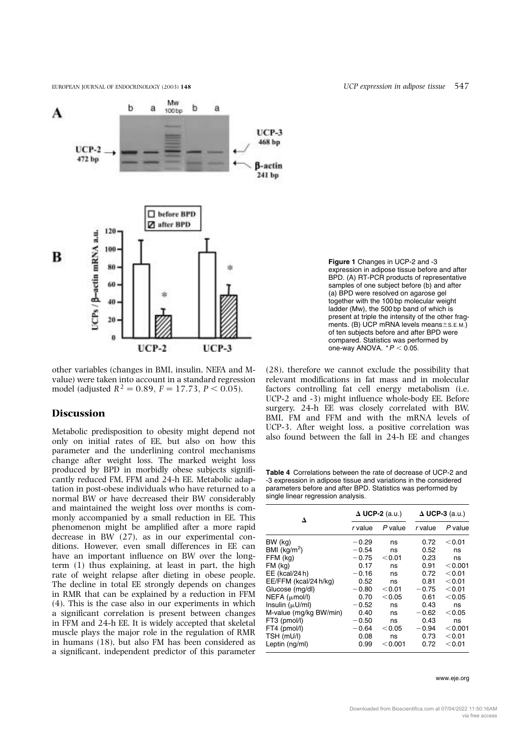

other variables (changes in BMI, insulin, NEFA and Mvalue) were taken into account in a standard regression model (adjusted  $R^2 = 0.89$ ,  $F = 17.73$ ,  $P < 0.05$ ).

# **Discussion**

Metabolic predisposition to obesity might depend not only on initial rates of EE, but also on how this parameter and the underlining control mechanisms change after weight loss. The marked weight loss produced by BPD in morbidly obese subjects significantly reduced FM, FFM and 24-h EE. Metabolic adaptation in post-obese individuals who have returned to a normal BW or have decreased their BW considerably and maintained the weight loss over months is commonly accompanied by a small reduction in EE. This phenomenon might be amplified after a more rapid decrease in BW (27), as in our experimental conditions. However, even small differences in EE can have an important influence on BW over the longterm (1) thus explaining, at least in part, the high rate of weight relapse after dieting in obese people. The decline in total EE strongly depends on changes in RMR that can be explained by a reduction in FFM (4). This is the case also in our experiments in which a significant correlation is present between changes in FFM and 24-h EE. It is widely accepted that skeletal muscle plays the major role in the regulation of RMR in humans (18), but also FM has been considered as a significant, independent predictor of this parameter

Figure 1 Changes in UCP-2 and -3 expression in adipose tissue before and after BPD. (A) RT-PCR products of representative samples of one subject before (b) and after (a) BPD were resolved on agarose gel together with the 100 bp molecular weight ladder (Mw), the 500 bp band of which is present at triple the intensity of the other fragments. (B) UCP mRNA levels means $\pm$ s.E.M.) of ten subjects before and after BPD were compared. Statistics was performed by one-way ANOVA.  $*P < 0.05$ .

(28), therefore we cannot exclude the possibility that relevant modifications in fat mass and in molecular factors controlling fat cell energy metabolism (i.e. UCP-2 and -3) might influence whole-body EE. Before surgery, 24-h EE was closely correlated with BW, BMI, FM and FFM and with the mRNA levels of UCP-3. After weight loss, a positive correlation was also found between the fall in 24-h EE and changes

Table 4 Correlations between the rate of decrease of UCP-2 and -3 expression in adipose tissue and variations in the considered parameters before and after BPD. Statistics was performed by single linear regression analysis.

| Δ                        | $\Delta$ UCP-2 (a.u.) |         | $\Delta$ UCP-3 (a.u.) |           |
|--------------------------|-----------------------|---------|-----------------------|-----------|
|                          | r value               | P value | r value               | P value   |
| BW (kg)                  | $-0.29$               | ns      | 0.72                  | $<$ 0.01  |
| BMI (kg/m <sup>2</sup> ) | $-0.54$               | ns      | 0.52                  | ns        |
| FFM (kg)                 | $-0.75$               | < 0.01  | 0.23                  | ns        |
| FM (kg)                  | 0.17                  | ns      | 0.91                  | < 0.001   |
| EE (kcal/24 h)           | $-0.16$               | ns      | 0.72                  | < 0.01    |
| EE/FFM (kcal/24 h/kg)    | 0.52                  | ns      | 0.81                  | $<$ 0.01  |
| Glucose (mg/dl)          | $-0.80$               | < 0.01  | $-0.75$               | $<$ 0.01  |
| NEFA (µmol/l)            | 0.70                  | < 0.05  | 0.61                  | < 0.05    |
| Insulin $(\mu U/ml)$     | $-0.52$               | ns      | 0.43                  | ns        |
| M-value (mg/kg BW/min)   | 0.40                  | ns      | $-0.62$               | < 0.05    |
| FT3 (pmol/l)             | $-0.50$               | ns      | 0.43                  | ns        |
| FT4 (pmol/l)             | $-0.64$               | < 0.05  | $-0.94$               | $<$ 0.001 |
| TSH (mU/l)               | 0.08                  | ns      | 0.73                  | $<$ 0.01  |
| Leptin (ng/ml)           | 0.99                  | < 0.001 | 0.72                  | $<$ 0.01  |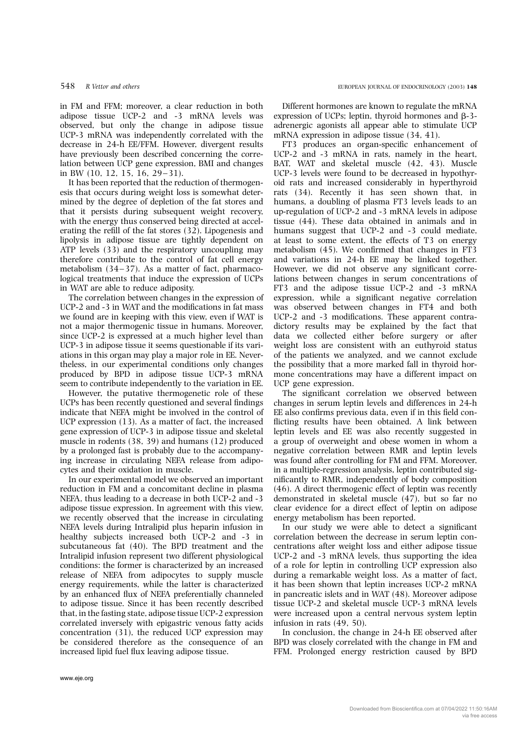in FM and FFM; moreover, a clear reduction in both adipose tissue UCP-2 and -3 mRNA levels was observed, but only the change in adipose tissue UCP-3 mRNA was independently correlated with the decrease in 24-h EE/FFM. However, divergent results have previously been described concerning the correlation between UCP gene expression, BMI and changes in BW (10, 12, 15, 16, 29–31).

It has been reported that the reduction of thermogenesis that occurs during weight loss is somewhat determined by the degree of depletion of the fat stores and that it persists during subsequent weight recovery, with the energy thus conserved being directed at accelerating the refill of the fat stores (32). Lipogenesis and lipolysis in adipose tissue are tightly dependent on ATP levels (33) and the respiratory uncoupling may therefore contribute to the control of fat cell energy metabolism (34–37). As a matter of fact, pharmacological treatments that induce the expression of UCPs in WAT are able to reduce adiposity.

The correlation between changes in the expression of UCP-2 and -3 in WAT and the modifications in fat mass we found are in keeping with this view, even if WAT is not a major thermogenic tissue in humans. Moreover, since UCP-2 is expressed at a much higher level than UCP-3 in adipose tissue it seems questionable if its variations in this organ may play a major role in EE. Nevertheless, in our experimental conditions only changes produced by BPD in adipose tissue UCP-3 mRNA seem to contribute independently to the variation in EE.

However, the putative thermogenetic role of these UCPs has been recently questioned and several findings indicate that NEFA might be involved in the control of UCP expression (13). As a matter of fact, the increased gene expression of UCP-3 in adipose tissue and skeletal muscle in rodents (38, 39) and humans (12) produced by a prolonged fast is probably due to the accompanying increase in circulating NEFA release from adipocytes and their oxidation in muscle.

In our experimental model we observed an important reduction in FM and a concomitant decline in plasma NEFA, thus leading to a decrease in both UCP-2 and -3 adipose tissue expression. In agreement with this view, we recently observed that the increase in circulating NEFA levels during Intralipid plus heparin infusion in healthy subjects increased both UCP-2 and -3 in subcutaneous fat (40). The BPD treatment and the Intralipid infusion represent two different physiological conditions: the former is characterized by an increased release of NEFA from adipocytes to supply muscle energy requirements, while the latter is characterized by an enhanced flux of NEFA preferentially channeled to adipose tissue. Since it has been recently described that, in the fasting state, adipose tissue UCP-2 expression correlated inversely with epigastric venous fatty acids concentration (31), the reduced UCP expression may be considered therefore as the consequence of an increased lipid fuel flux leaving adipose tissue.

Different hormones are known to regulate the mRNA expression of UCPs; leptin, thyroid hormones and  $\beta$ -3adrenergic agonists all appear able to stimulate UCP mRNA expression in adipose tissue (34, 41).

FT3 produces an organ-specific enhancement of UCP-2 and -3 mRNA in rats, namely in the heart, BAT, WAT and skeletal muscle (42, 43). Muscle UCP-3 levels were found to be decreased in hypothyroid rats and increased considerably in hyperthyroid rats (34). Recently it has seen shown that, in humans, a doubling of plasma FT3 levels leads to an up-regulation of UCP-2 and -3 mRNA levels in adipose tissue (44). These data obtained in animals and in humans suggest that UCP-2 and -3 could mediate, at least to some extent, the effects of T3 on energy metabolism (45). We confirmed that changes in FT3 and variations in 24-h EE may be linked together. However, we did not observe any significant correlations between changes in serum concentrations of FT3 and the adipose tissue UCP-2 and -3 mRNA expression, while a significant negative correlation was observed between changes in FT4 and both UCP-2 and -3 modifications. These apparent contradictory results may be explained by the fact that data we collected either before surgery or after weight loss are consistent with an euthyroid status of the patients we analyzed, and we cannot exclude the possibility that a more marked fall in thyroid hormone concentrations may have a different impact on UCP gene expression.

The significant correlation we observed between changes in serum leptin levels and differences in 24-h EE also confirms previous data, even if in this field conflicting results have been obtained. A link between leptin levels and EE was also recently suggested in a group of overweight and obese women in whom a negative correlation between RMR and leptin levels was found after controlling for FM and FFM. Moreover, in a multiple-regression analysis, leptin contributed significantly to RMR, independently of body composition (46). A direct thermogenic effect of leptin was recently demonstrated in skeletal muscle (47), but so far no clear evidence for a direct effect of leptin on adipose energy metabolism has been reported.

In our study we were able to detect a significant correlation between the decrease in serum leptin concentrations after weight loss and either adipose tissue UCP-2 and -3 mRNA levels, thus supporting the idea of a role for leptin in controlling UCP expression also during a remarkable weight loss. As a matter of fact, it has been shown that leptin increases UCP-2 mRNA in pancreatic islets and in WAT (48). Moreover adipose tissue UCP-2 and skeletal muscle UCP-3 mRNA levels were increased upon a central nervous system leptin infusion in rats (49, 50).

In conclusion, the change in 24-h EE observed after BPD was closely correlated with the change in FM and FFM. Prolonged energy restriction caused by BPD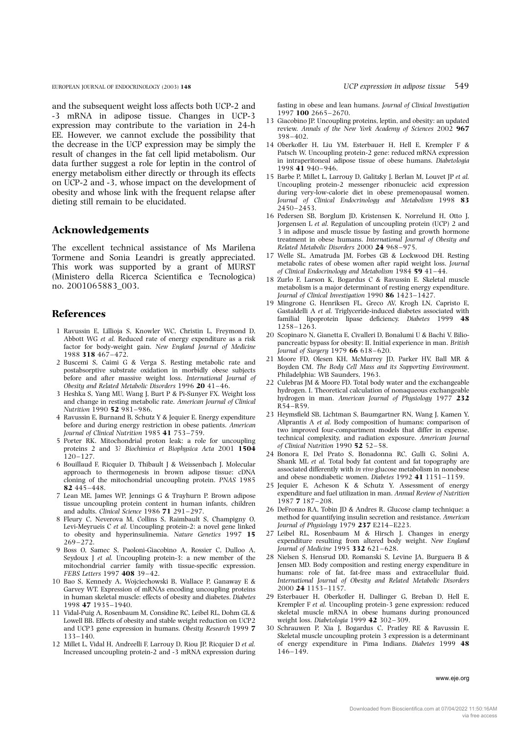and the subsequent weight loss affects both UCP-2 and -3 mRNA in adipose tissue. Changes in UCP-3 expression may contribute to the variation in 24-h EE. However, we cannot exclude the possibility that the decrease in the UCP expression may be simply the result of changes in the fat cell lipid metabolism. Our data further suggest a role for leptin in the control of energy metabolism either directly or through its effects on UCP-2 and -3, whose impact on the development of obesity and whose link with the frequent relapse after dieting still remain to be elucidated.

# Acknowledgements

The excellent technical assistance of Ms Marilena Tormene and Sonia Leandri is greatly appreciated. This work was supported by a grant of MURST (Ministero della Ricerca Scientifica e Tecnologica) no. 2001065883\_003.

# References

- 1 Ravussin E, Lillioja S, Knowler WC, Christin L, Freymond D, Abbott WG et al. Reduced rate of energy expenditure as a risk factor for body-weight gain. New England Journal of Medicine 1988 318 467–472.
- 2 Buscemi S, Caimi G & Verga S. Resting metabolic rate and postabsorptive substrate oxidation in morbidly obese subjects **before and after massive weight loss.** International Journal of Obesity and Related Metabolic Disorders 1996 20 41-46.
- 3 Heshka S, Yang MU, Wang J, Burt P & Pi-Sunyer FX. Weight loss and change in resting metabolic rate. American Journal of Clinical Nutrition 1990 52 981-986.
- 4 Ravussin E, Burnand B, Schutz Y & Jequier E. Energy expenditure before and during energy restriction in obese patients. American Journal of Clinical Nutrition 1985 41 753–759.
- 5 Porter RK. Mitochondrial proton leak: a role for uncoupling proteins 2 and 3? Biochimica et Biophysica Acta 2001 1504 120–127.
- 6 Bouillaud F, Ricquier D, Thibault J & Weissenbach J. Molecular approach to thermogenesis in brown adipose tissue: cDNA cloning of the mitochondrial uncoupling protein. PNAS 1985 82 445–448.
- 7 Lean ME, James WP, Jennings G & Trayhurn P. Brown adipose tissue uncoupling protein content in human infants, children and adults. Clinical Science 1986 71 291–297.
- 8 Fleury C, Neverova M, Collins S, Raimbault S, Champigny O, Levi-Meyrueis C et al. Uncoupling protein-2: a novel gene linked to obesity and hyperinsulinemia. Nature Genetics 1997 15 269–272.
- 9 Boss O, Samec S, Paoloni-Giacobino A, Rossier C, Dulloo A, Seydoux J et al. Uncoupling protein-3: a new member of the mitochondrial carrier family with tissue-specific expression. FEBS Letters 1997 408 39–42.
- 10 Bao S, Kennedy A, Wojciechowski B, Wallace P, Ganaway E & Garvey WT. Expression of mRNAs encoding uncoupling proteins in human skeletal muscle: effects of obesity and diabetes. Diabetes 1998 47 1935–1940.
- 11 Vidal-Puig A, Rosenbaum M, Considine RC, Leibel RL, Dohm GL & Lowell BB. Effects of obesity and stable weight reduction on UCP2 and UCP3 gene expression in humans. Obesity Research 1999 7 133– 140.
- 12 Millet L, Vidal H, Andreelli F, Larrouy D, Riou JP, Ricquier D et al. Increased uncoupling protein-2 and -3 mRNA expression during

fasting in obese and lean humans. Journal of Clinical Investigation 1997 100 2665–2670.

- 13 Giacobino JP. Uncoupling proteins, leptin, and obesity: an updated review. Annals of the New York Academy of Sciences 2002 967 398–402.
- 14 Oberkofler H, Liu YM, Esterbauer H, Hell E, Krempler F & Patsch W. Uncoupling protein-2 gene: reduced mRNA expression in intraperitoneal adipose tissue of obese humans. Diabetologia 1998 41 940– 946.
- 15 Barbe P, Millet L, Larrouy D, Galitzky J, Berlan M, Louvet JP et al. Uncoupling protein-2 messenger ribonucleic acid expression during very-low-calorie diet in obese premenopausal women. Journal of Clinical Endocrinology and Metabolism 1998 83 2450–2453.
- 16 Pedersen SB, Borglum JD, Kristensen K, Norrelund H, Otto J, Jorgensen L et al. Regulation of uncoupling protein (UCP) 2 and 3 in adipose and muscle tissue by fasting and growth hormone treatment in obese humans. International Journal of Obesity and Related Metabolic Disorders 2000 24 968–975.
- 17 Welle SL, Amatruda JM, Forbes GB & Lockwood DH. Resting metabolic rates of obese women after rapid weight loss. Journal of Clinical Endocrinology and Metabolism 1984 59 41–44.
- 18 Zurlo F, Larson K, Bogardus C & Ravussin E. Skeletal muscle metabolism is a major determinant of resting energy expenditure. Journal of Clinical Investigation 1990 86 1423-1427.
- 19 Mingrone G, Henriksen FL, Greco AV, Krogh LN, Capristo E, Gastaldelli A et al. Triglyceride-induced diabetes associated with familial lipoprotein lipase deficiency. Diabetes 1999 48 1258–1263.
- 20 Scopinaro N, Gianetta E, Civalleri D, Bonalumi U & Bachi V. Biliopancreatic bypass for obesity: II. Initial experience in man. British Journal of Surgery 1979 66 618–620.
- 21 Moore FD, Olesen KH, McMurrey JD, Parker HV, Ball MR & Boyden CM. The Body Cell Mass and its Supporting Environment. Philadelphia: WB Saunders, 1963.
- 22 Culebras JM & Moore FD. Total body water and the exchangeable hydrogen. I. Theoretical calculation of nonaqueous exchangeable hydrogen in man. American Journal of Physiology 1977 232 R54–R59.
- 23 Heymsfield SB, Lichtman S, Baumgartner RN, Wang J, Kamen Y, Aliprantis A et al. Body composition of humans: comparison of two improved four-compartment models that differ in expense, technical complexity, and radiation exposure. American Journal of Clinical Nutrition 1990 52 52–58.
- 24 Bonora E, Del Prato S, Bonadonna RC, Gulli G, Solini A, Shank ML et al. Total body fat content and fat topography are associated differently with in vivo glucose metabolism in nonobese and obese nondiabetic women. Diabetes 1992 41 1151–1159.
- 25 Jequier E, Acheson K & Schutz Y. Assessment of energy expenditure and fuel utilization in man. Annual Review of Nutrition 1987 7 187–208.
- 26 DeFronzo RA, Tobin JD & Andres R. Glucose clamp technique: a method for quantifying insulin secretion and resistance. American Journal of Physiology 1979 237 E214-E223.
- 27 Leibel RL, Rosenbaum M & Hirsch J. Changes in energy expenditure resulting from altered body weight. New England Journal of Medicine 1995 332 621–628.
- 28 Nielsen S, Hensrud DD, Romanski S, Levine JA, Burguera B & Jensen MD. Body composition and resting energy expenditure in humans: role of fat, fat-free mass and extracellular fluid. International Journal of Obesity and Related Metabolic Disorders 2000 24 1153–1157.
- 29 Esterbauer H, Oberkofler H, Dallinger G, Breban D, Hell E, Krempler F et al. Uncoupling protein-3 gene expression: reduced skeletal muscle mRNA in obese humans during pronounced weight loss. Diabetologia 1999 42 302–309.
- 30 Schrauwen P, Xia J, Bogardus C, Pratley RE & Ravussin E. Skeletal muscle uncoupling protein 3 expression is a determinant of energy expenditure in Pima Indians. Diabetes 1999 48 146–149.

www.eje.org